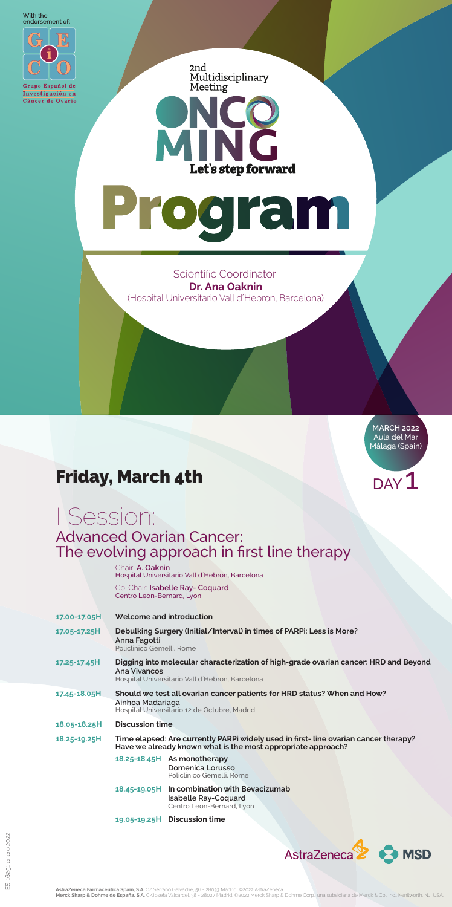**MARCH 2022** Aula del Mar Málaga (Spain)

#### Advanced Ovarian Cancer: The evolving approach in first line therapy



**AstraZeneca Farmacéutica Spain, S.A.** C/ Serrano Galvache, 56 - 28033 Madrid. ©2022 AstraZeneca.<br>**Merck Sharp & Dohme de España, S.A.** C/Josefa Valcárcel, 38 - 28027 Madrid. ©2022 Merck Sharp & Dohme Corp., una subsidiari

#### Friday, March 4th

# I Session:

Chair: **A. Oaknin** Hospital Universitario Vall d´Hebron, Barcelona

 Co-Chair: **Isabelle Ray- Coquard** Centro Leon-Bernard, Lyon

- **17.00-17.05H Welcome and introduction**
- **17.05-17.25H Debulking Surgery (Initial/Interval) in times of PARPi: Less is More? Anna Fagotti** Policlinico Gemelli, Rome
- **17.25-17.45H Digging into molecular characterization of high-grade ovarian cancer: HRD and Beyond Ana Vivancos** Hospital Universitario Vall d´Hebron, Barcelona

 $_{\text{DAY}}$  $\mathbf{1}$ 

AstraZeneca<sup>2</sup> AMSD

| 17.45-18.05H      | Should we test all ovarian cancer patients for HRD status? When and How?<br>Ainhoa Madariaga<br>Hospital Universitario 12 de Octubre, Madrid        |                                                                                                          |  |
|-------------------|-----------------------------------------------------------------------------------------------------------------------------------------------------|----------------------------------------------------------------------------------------------------------|--|
| 18.05-18.25H      | <b>Discussion time</b>                                                                                                                              |                                                                                                          |  |
| $18.25 - 19.25$ H | Time elapsed: Are currently PARPi widely used in first-line ovarian cancer therapy?<br>Have we already known what is the most appropriate approach? |                                                                                                          |  |
|                   |                                                                                                                                                     | 18.25-18.45H As monotherapy<br>Domenica Lorusso<br>Policlinico Gemelli, Rome                             |  |
|                   |                                                                                                                                                     | 18.45-19.05H In combination with Bevacizumab<br><b>Isabelle Ray-Coquard</b><br>Centro Leon-Bernard, Lyon |  |
|                   |                                                                                                                                                     | 19.05-19.25H Discussion time                                                                             |  |

Scientific Coordinator: **Dr. Ana Oaknin** (Hospital Universitario Vall d´Hebron, Barcelona)

**With the endorsement of:**



Grupo Español de Investigación en Cáncer de Ovario 2nd Multidisciplinary Meeting

Let's step forward

# Program